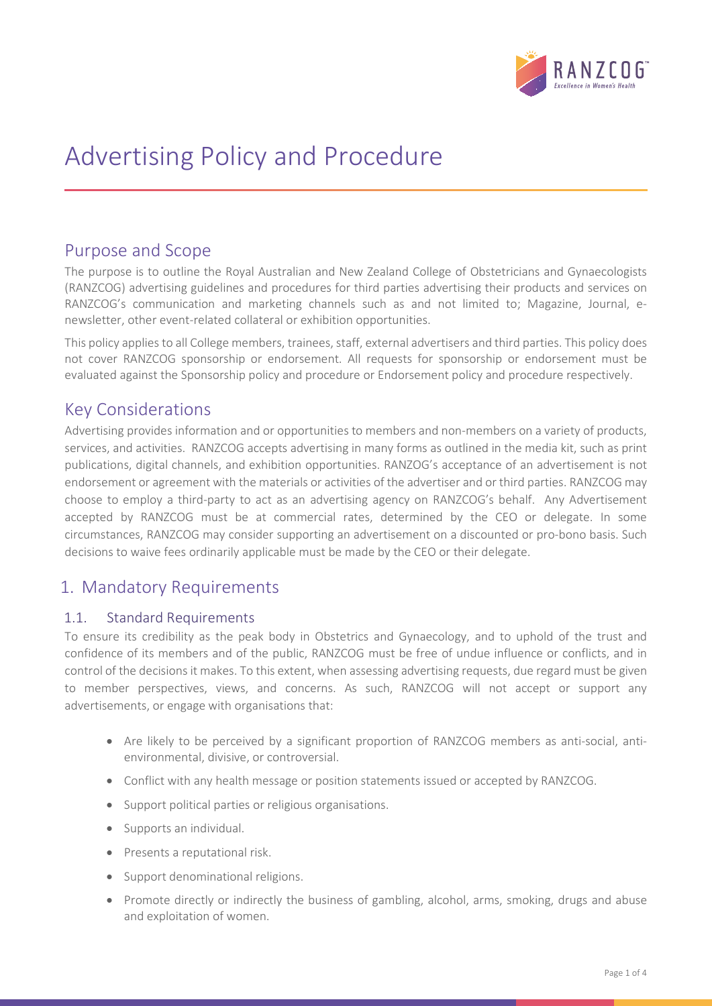

# Advertising Policy and Procedure

### Purpose and Scope

The purpose is to outline the Royal Australian and New Zealand College of Obstetricians and Gynaecologists (RANZCOG) advertising guidelines and procedures for third parties advertising their products and services on RANZCOG's communication and marketing channels such as and not limited to; Magazine, Journal, enewsletter, other event-related collateral or exhibition opportunities.

This policy applies to all College members, trainees, staff, external advertisers and third parties. This policy does not cover RANZCOG sponsorship or endorsement. All requests for sponsorship or endorsement must be evaluated against the Sponsorship policy and procedure or Endorsement policy and procedure respectively.

### Key Considerations

Advertising provides information and or opportunities to members and non-members on a variety of products, services, and activities. RANZCOG accepts advertising in many forms as outlined in the media kit, such as print publications, digital channels, and exhibition opportunities. RANZOG's acceptance of an advertisement is not endorsement or agreement with the materials or activities of the advertiser and or third parties. RANZCOG may choose to employ a third-party to act as an advertising agency on RANZCOG's behalf. Any Advertisement accepted by RANZCOG must be at commercial rates, determined by the CEO or delegate. In some circumstances, RANZCOG may consider supporting an advertisement on a discounted or pro-bono basis. Such decisions to waive fees ordinarily applicable must be made by the CEO or their delegate.

### 1. Mandatory Requirements

#### 1.1. Standard Requirements

To ensure its credibility as the peak body in Obstetrics and Gynaecology, and to uphold of the trust and confidence of its members and of the public, RANZCOG must be free of undue influence or conflicts, and in control of the decisions it makes. To this extent, when assessing advertising requests, due regard must be given to member perspectives, views, and concerns. As such, RANZCOG will not accept or support any advertisements, or engage with organisations that:

- Are likely to be perceived by a significant proportion of RANZCOG members as anti-social, antienvironmental, divisive, or controversial.
- Conflict with any health message or position statements issued or accepted by RANZCOG.
- Support political parties or religious organisations.
- Supports an individual.
- Presents a reputational risk.
- Support denominational religions.
- Promote directly or indirectly the business of gambling, alcohol, arms, smoking, drugs and abuse and exploitation of women.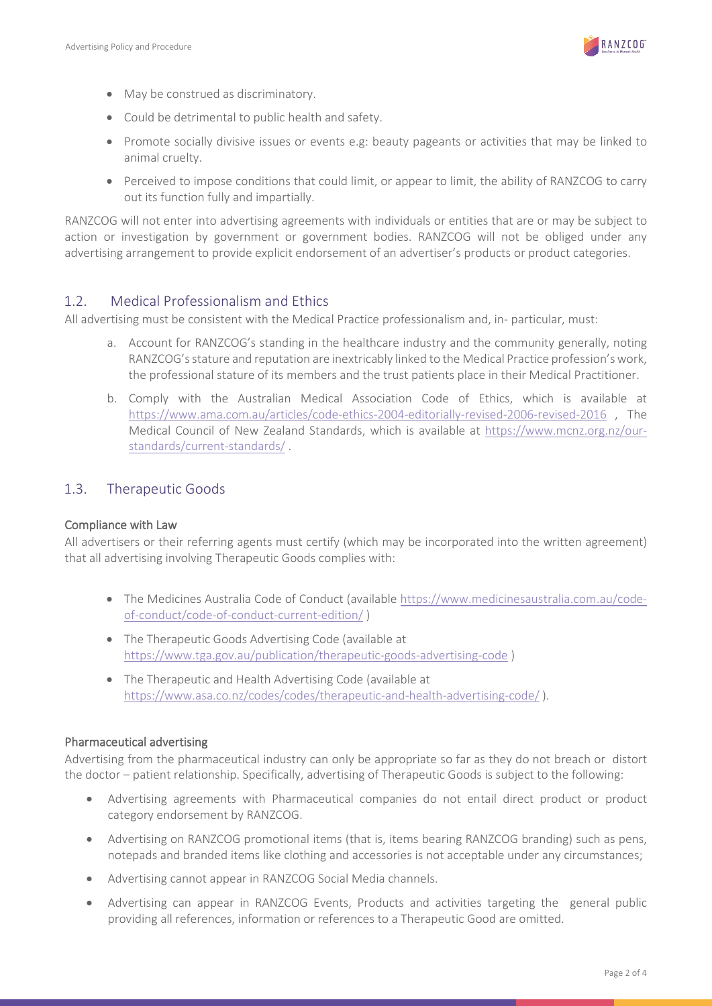

- May be construed as discriminatory.
- Could be detrimental to public health and safety.
- Promote socially divisive issues or events e.g: beauty pageants or activities that may be linked to animal cruelty.
- Perceived to impose conditions that could limit, or appear to limit, the ability of RANZCOG to carry out its function fully and impartially.

RANZCOG will not enter into advertising agreements with individuals or entities that are or may be subject to action or investigation by government or government bodies. RANZCOG will not be obliged under any advertising arrangement to provide explicit endorsement of an advertiser's products or product categories.

#### 1.2. Medical Professionalism and Ethics

All advertising must be consistent with the Medical Practice professionalism and, in- particular, must:

- a. Account for RANZCOG's standing in the healthcare industry and the community generally, noting RANZCOG's stature and reputation are inextricably linked to the Medical Practice profession's work, the professional stature of its members and the trust patients place in their Medical Practitioner.
- b. Comply with the Australian Medical Association Code of Ethics, which is available at <https://www.ama.com.au/articles/code-ethics-2004-editorially-revised-2006-revised-2016> , The Medical Council of New Zealand Standards, which is available at [https://www.mcnz.org.nz/our](https://www.mcnz.org.nz/our-standards/current-standards/)[standards/current-standards/](https://www.mcnz.org.nz/our-standards/current-standards/) .

#### 1.3. Therapeutic Goods

#### Compliance with Law

All advertisers or their referring agents must certify (which may be incorporated into the written agreement) that all advertising involving Therapeutic Goods complies with:

- The Medicines Australia Code of Conduct (available [https://www.medicinesaustralia.com.au/code](https://www.medicinesaustralia.com.au/code-of-conduct/code-of-conduct-current-edition/)[of-conduct/code-of-conduct-current-edition/](https://www.medicinesaustralia.com.au/code-of-conduct/code-of-conduct-current-edition/) )
- The Therapeutic Goods Advertising Code (available at <https://www.tga.gov.au/publication/therapeutic-goods-advertising-code> )
- The Therapeutic and Health Advertising Code (available at <https://www.asa.co.nz/codes/codes/therapeutic-and-health-advertising-code/> ).

#### Pharmaceutical advertising

Advertising from the pharmaceutical industry can only be appropriate so far as they do not breach or distort the doctor – patient relationship. Specifically, advertising of Therapeutic Goods is subject to the following:

- Advertising agreements with Pharmaceutical companies do not entail direct product or product category endorsement by RANZCOG.
- Advertising on RANZCOG promotional items (that is, items bearing RANZCOG branding) such as pens, notepads and branded items like clothing and accessories is not acceptable under any circumstances;
- Advertising cannot appear in RANZCOG Social Media channels.
- Advertising can appear in RANZCOG Events, Products and activities targeting the general public providing all references, information or references to a Therapeutic Good are omitted.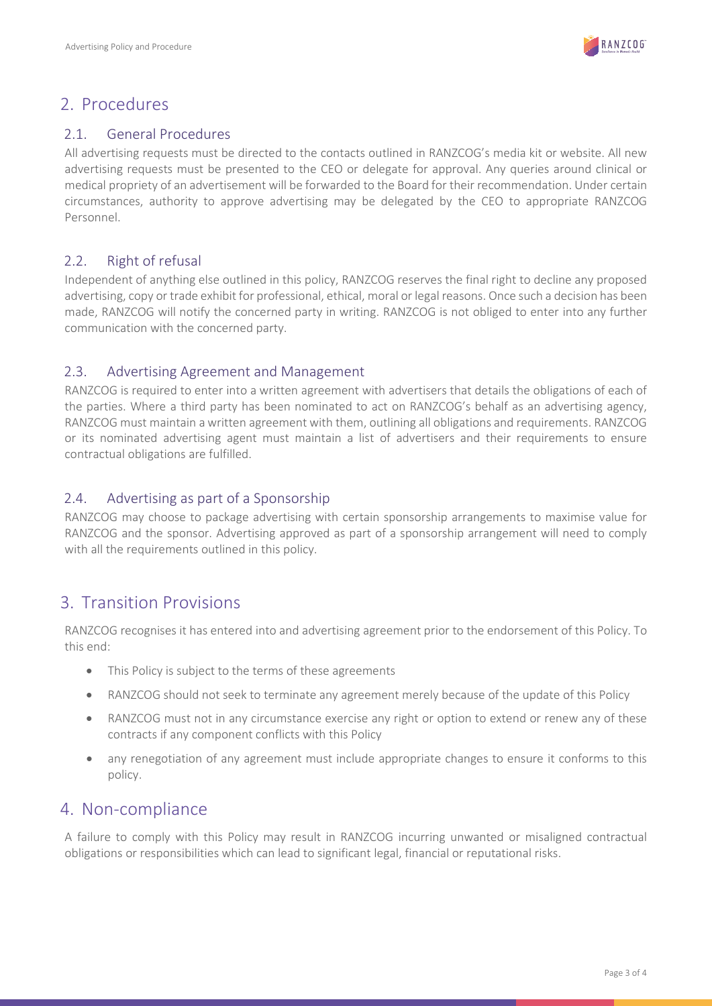

### 2. Procedures

#### 2.1. General Procedures

All advertising requests must be directed to the contacts outlined in RANZCOG's media kit or website. All new advertising requests must be presented to the CEO or delegate for approval. Any queries around clinical or medical propriety of an advertisement will be forwarded to the Board for their recommendation. Under certain circumstances, authority to approve advertising may be delegated by the CEO to appropriate RANZCOG Personnel.

### 2.2. Right of refusal

Independent of anything else outlined in this policy, RANZCOG reserves the final right to decline any proposed advertising, copy or trade exhibit for professional, ethical, moral or legal reasons. Once such a decision has been made, RANZCOG will notify the concerned party in writing. RANZCOG is not obliged to enter into any further communication with the concerned party.

#### 2.3. Advertising Agreement and Management

RANZCOG is required to enter into a written agreement with advertisers that details the obligations of each of the parties. Where a third party has been nominated to act on RANZCOG's behalf as an advertising agency, RANZCOG must maintain a written agreement with them, outlining all obligations and requirements. RANZCOG or its nominated advertising agent must maintain a list of advertisers and their requirements to ensure contractual obligations are fulfilled.

#### 2.4. Advertising as part of a Sponsorship

RANZCOG may choose to package advertising with certain sponsorship arrangements to maximise value for RANZCOG and the sponsor. Advertising approved as part of a sponsorship arrangement will need to comply with all the requirements outlined in this policy.

## 3. Transition Provisions

RANZCOG recognises it has entered into and advertising agreement prior to the endorsement of this Policy. To this end:

- This Policy is subject to the terms of these agreements
- RANZCOG should not seek to terminate any agreement merely because of the update of this Policy
- RANZCOG must not in any circumstance exercise any right or option to extend or renew any of these contracts if any component conflicts with this Policy
- any renegotiation of any agreement must include appropriate changes to ensure it conforms to this policy.

## 4. Non-compliance

A failure to comply with this Policy may result in RANZCOG incurring unwanted or misaligned contractual obligations or responsibilities which can lead to significant legal, financial or reputational risks.